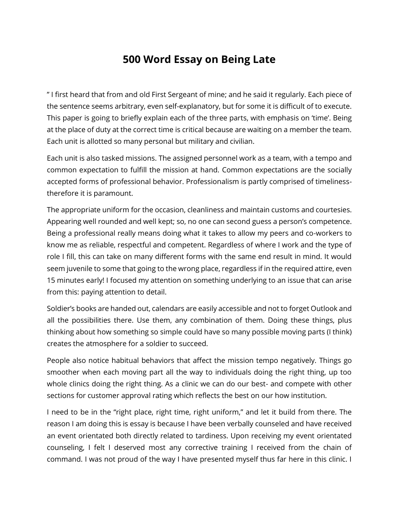## **500 Word Essay on Being Late**

" I first heard that from and old First Sergeant of mine; and he said it regularly. Each piece of the sentence seems arbitrary, even self-explanatory, but for some it is difficult of to execute. This paper is going to briefly explain each of the three parts, with emphasis on 'time'. Being at the place of duty at the correct time is critical because are waiting on a member the team. Each unit is allotted so many personal but military and civilian.

Each unit is also tasked missions. The assigned personnel work as a team, with a tempo and common expectation to fulfill the mission at hand. Common expectations are the socially accepted forms of professional behavior. Professionalism is partly comprised of timelinesstherefore it is paramount.

The appropriate uniform for the occasion, cleanliness and maintain customs and courtesies. Appearing well rounded and well kept; so, no one can second guess a person's competence. Being a professional really means doing what it takes to allow my peers and co-workers to know me as reliable, respectful and competent. Regardless of where I work and the type of role I fill, this can take on many different forms with the same end result in mind. It would seem juvenile to some that going to the wrong place, regardless if in the required attire, even 15 minutes early! I focused my attention on something underlying to an issue that can arise from this: paying attention to detail.

Soldier's books are handed out, calendars are easily accessible and not to forget Outlook and all the possibilities there. Use them, any combination of them. Doing these things, plus thinking about how something so simple could have so many possible moving parts (I think) creates the atmosphere for a soldier to succeed.

People also notice habitual behaviors that affect the mission tempo negatively. Things go smoother when each moving part all the way to individuals doing the right thing, up too whole clinics doing the right thing. As a clinic we can do our best- and compete with other sections for customer approval rating which reflects the best on our how institution.

I need to be in the "right place, right time, right uniform," and let it build from there. The reason I am doing this is essay is because I have been verbally counseled and have received an event orientated both directly related to tardiness. Upon receiving my event orientated counseling, I felt I deserved most any corrective training I received from the chain of command. I was not proud of the way I have presented myself thus far here in this clinic. I